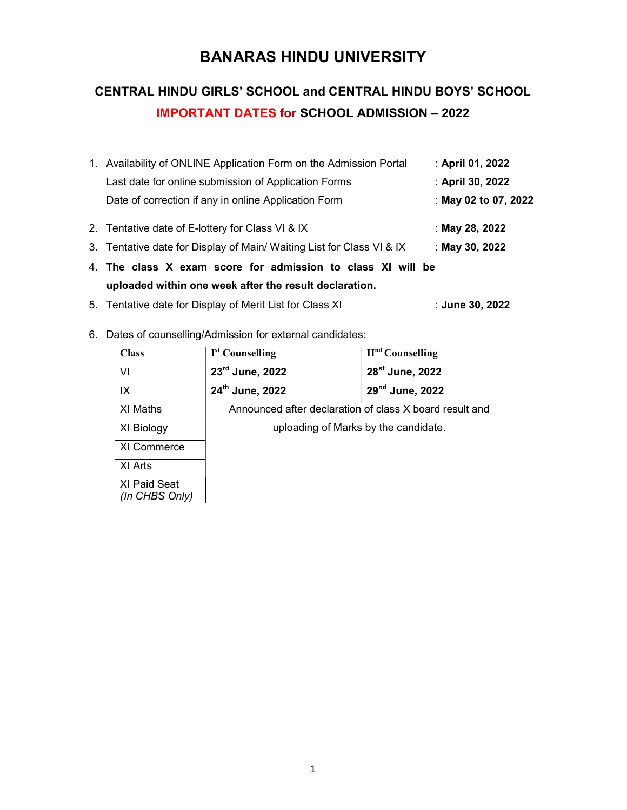# BANARAS HINDU UNIVERSITY

# CENTRAL HINDU GIRLS' SCHOOL and CENTRAL HINDU BOYS' SCHOOL IMPORTANT DATES for SCHOOL ADMISSION – 2022

| 1. Availability of ONLINE Application Form on the Admission Portal<br>: April 01, 2022 |                      |  |
|----------------------------------------------------------------------------------------|----------------------|--|
| Last date for online submission of Application Forms                                   | : April 30, 2022     |  |
| Date of correction if any in online Application Form                                   | : May 02 to 07, 2022 |  |
| : May 28, 2022<br>2. Tentative date of E-lottery for Class VI & IX                     |                      |  |
| 3. Tentative date for Display of Main/ Waiting List for Class VI & IX                  | : May 30, 2022       |  |
| 4. The class X exam score for admission to class XI will be                            |                      |  |
| uploaded within one week after the result declaration.                                 |                      |  |
| 5. Tentative date for Display of Merit List for Class XI                               | :June 30, 2022       |  |

6. Dates of counselling/Admission for external candidates:

| <b>Class</b>   | I <sup>st</sup> Counselling                             | $IInd$ Counselling          |
|----------------|---------------------------------------------------------|-----------------------------|
| VI             | $23rd$ June, 2022                                       | 28 <sup>st</sup> June, 2022 |
| IX             | 24th June, 2022                                         | 29 <sup>nd</sup> June, 2022 |
| XI Maths       | Announced after declaration of class X board result and |                             |
| XI Biology     | uploading of Marks by the candidate.                    |                             |
| XI Commerce    |                                                         |                             |
| XI Arts        |                                                         |                             |
| XI Paid Seat   |                                                         |                             |
| (In CHBS Only) |                                                         |                             |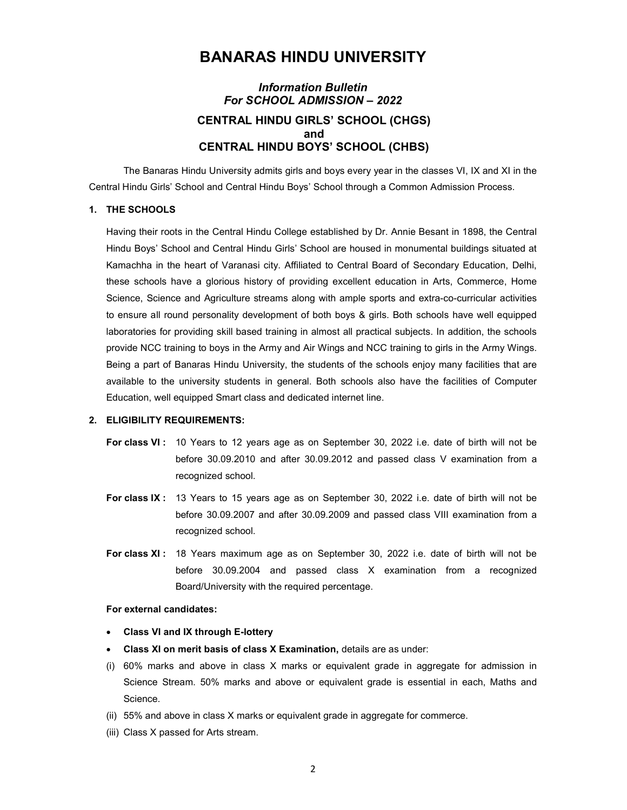## BANARAS HINDU UNIVERSITY

## Information Bulletin For SCHOOL ADMISSION – 2022 CENTRAL HINDU GIRLS' SCHOOL (CHGS) and CENTRAL HINDU BOYS' SCHOOL (CHBS)

 The Banaras Hindu University admits girls and boys every year in the classes VI, IX and XI in the Central Hindu Girls' School and Central Hindu Boys' School through a Common Admission Process.

## 1. THE SCHOOLS

Having their roots in the Central Hindu College established by Dr. Annie Besant in 1898, the Central Hindu Boys' School and Central Hindu Girls' School are housed in monumental buildings situated at Kamachha in the heart of Varanasi city. Affiliated to Central Board of Secondary Education, Delhi, these schools have a glorious history of providing excellent education in Arts, Commerce, Home Science, Science and Agriculture streams along with ample sports and extra-co-curricular activities to ensure all round personality development of both boys & girls. Both schools have well equipped laboratories for providing skill based training in almost all practical subjects. In addition, the schools provide NCC training to boys in the Army and Air Wings and NCC training to girls in the Army Wings. Being a part of Banaras Hindu University, the students of the schools enjoy many facilities that are available to the university students in general. Both schools also have the facilities of Computer Education, well equipped Smart class and dedicated internet line.

## 2. ELIGIBILITY REQUIREMENTS:

- For class VI : 10 Years to 12 years age as on September 30, 2022 i.e. date of birth will not be before 30.09.2010 and after 30.09.2012 and passed class V examination from a recognized school.
- For class IX : 13 Years to 15 years age as on September 30, 2022 i.e. date of birth will not be before 30.09.2007 and after 30.09.2009 and passed class VIII examination from a recognized school.
- For class XI: 18 Years maximum age as on September 30, 2022 i.e. date of birth will not be before 30.09.2004 and passed class X examination from a recognized Board/University with the required percentage.

#### For external candidates:

- Class VI and IX through E-lottery
- Class XI on merit basis of class X Examination, details are as under:
- (i) 60% marks and above in class X marks or equivalent grade in aggregate for admission in Science Stream. 50% marks and above or equivalent grade is essential in each, Maths and Science.
- (ii) 55% and above in class X marks or equivalent grade in aggregate for commerce.
- (iii) Class X passed for Arts stream.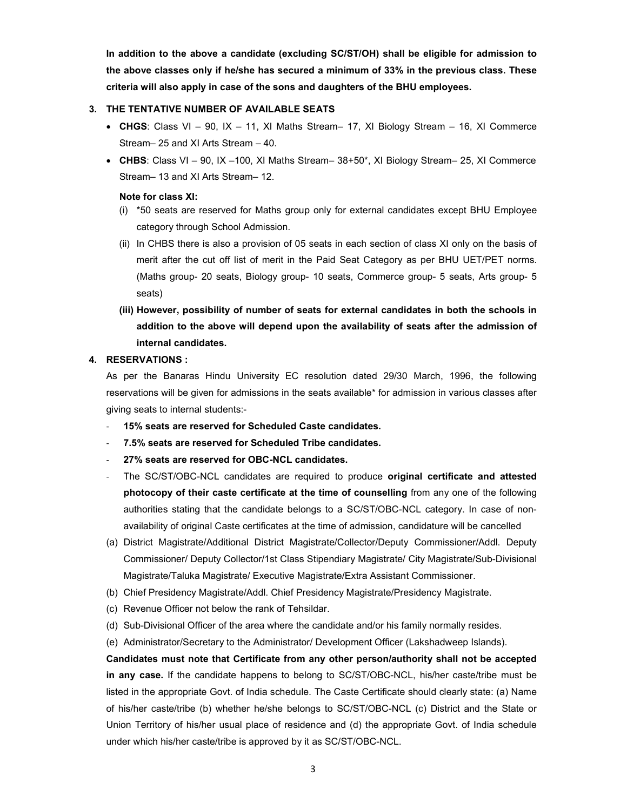In addition to the above a candidate (excluding SC/ST/OH) shall be eligible for admission to the above classes only if he/she has secured a minimum of 33% in the previous class. These criteria will also apply in case of the sons and daughters of the BHU employees.

## 3. THE TENTATIVE NUMBER OF AVAILABLE SEATS

- CHGS: Class VI 90, IX 11, XI Maths Stream– 17, XI Biology Stream 16, XI Commerce Stream– 25 and XI Arts Stream – 40.
- CHBS: Class VI 90, IX –100, XI Maths Stream– 38+50\*, XI Biology Stream– 25, XI Commerce Stream– 13 and XI Arts Stream– 12.

## Note for class XI:

- (i) \*50 seats are reserved for Maths group only for external candidates except BHU Employee category through School Admission.
- (ii) In CHBS there is also a provision of 05 seats in each section of class XI only on the basis of merit after the cut off list of merit in the Paid Seat Category as per BHU UET/PET norms. (Maths group- 20 seats, Biology group- 10 seats, Commerce group- 5 seats, Arts group- 5 seats)
- (iii) However, possibility of number of seats for external candidates in both the schools in addition to the above will depend upon the availability of seats after the admission of internal candidates.

## 4. RESERVATIONS :

As per the Banaras Hindu University EC resolution dated 29/30 March, 1996, the following reservations will be given for admissions in the seats available\* for admission in various classes after giving seats to internal students:-

- 15% seats are reserved for Scheduled Caste candidates.
- 7.5% seats are reserved for Scheduled Tribe candidates.
- 27% seats are reserved for OBC-NCL candidates.
- The SC/ST/OBC-NCL candidates are required to produce original certificate and attested photocopy of their caste certificate at the time of counselling from any one of the following authorities stating that the candidate belongs to a SC/ST/OBC-NCL category. In case of nonavailability of original Caste certificates at the time of admission, candidature will be cancelled
- (a) District Magistrate/Additional District Magistrate/Collector/Deputy Commissioner/Addl. Deputy Commissioner/ Deputy Collector/1st Class Stipendiary Magistrate/ City Magistrate/Sub-Divisional Magistrate/Taluka Magistrate/ Executive Magistrate/Extra Assistant Commissioner.
- (b) Chief Presidency Magistrate/Addl. Chief Presidency Magistrate/Presidency Magistrate.
- (c) Revenue Officer not below the rank of Tehsildar.
- (d) Sub-Divisional Officer of the area where the candidate and/or his family normally resides.
- (e) Administrator/Secretary to the Administrator/ Development Officer (Lakshadweep Islands).

Candidates must note that Certificate from any other person/authority shall not be accepted in any case. If the candidate happens to belong to SC/ST/OBC-NCL, his/her caste/tribe must be listed in the appropriate Govt. of India schedule. The Caste Certificate should clearly state: (a) Name of his/her caste/tribe (b) whether he/she belongs to SC/ST/OBC-NCL (c) District and the State or Union Territory of his/her usual place of residence and (d) the appropriate Govt. of India schedule under which his/her caste/tribe is approved by it as SC/ST/OBC-NCL.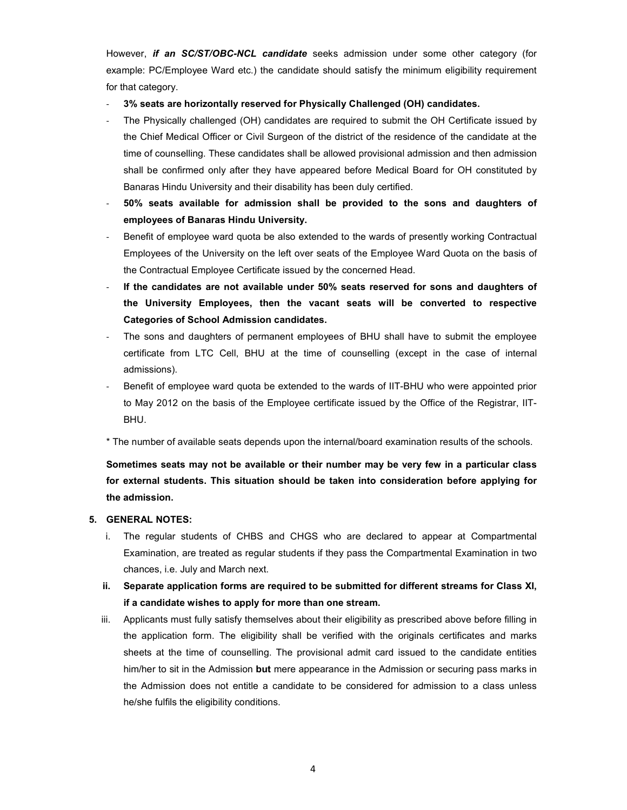However, if an SC/ST/OBC-NCL candidate seeks admission under some other category (for example: PC/Employee Ward etc.) the candidate should satisfy the minimum eligibility requirement for that category.

- 3% seats are horizontally reserved for Physically Challenged (OH) candidates.
- The Physically challenged (OH) candidates are required to submit the OH Certificate issued by the Chief Medical Officer or Civil Surgeon of the district of the residence of the candidate at the time of counselling. These candidates shall be allowed provisional admission and then admission shall be confirmed only after they have appeared before Medical Board for OH constituted by Banaras Hindu University and their disability has been duly certified.
- 50% seats available for admission shall be provided to the sons and daughters of employees of Banaras Hindu University.
- Benefit of employee ward quota be also extended to the wards of presently working Contractual Employees of the University on the left over seats of the Employee Ward Quota on the basis of the Contractual Employee Certificate issued by the concerned Head.
- If the candidates are not available under 50% seats reserved for sons and daughters of the University Employees, then the vacant seats will be converted to respective Categories of School Admission candidates.
- The sons and daughters of permanent employees of BHU shall have to submit the employee certificate from LTC Cell, BHU at the time of counselling (except in the case of internal admissions).
- Benefit of employee ward quota be extended to the wards of IIT-BHU who were appointed prior to May 2012 on the basis of the Employee certificate issued by the Office of the Registrar, IIT-BHU.

\* The number of available seats depends upon the internal/board examination results of the schools.

Sometimes seats may not be available or their number may be very few in a particular class for external students. This situation should be taken into consideration before applying for the admission.

## 5. GENERAL NOTES:

- i. The regular students of CHBS and CHGS who are declared to appear at Compartmental Examination, are treated as regular students if they pass the Compartmental Examination in two chances, i.e. July and March next.
- ii. Separate application forms are required to be submitted for different streams for Class XI, if a candidate wishes to apply for more than one stream.
- iii. Applicants must fully satisfy themselves about their eligibility as prescribed above before filling in the application form. The eligibility shall be verified with the originals certificates and marks sheets at the time of counselling. The provisional admit card issued to the candidate entities him/her to sit in the Admission **but** mere appearance in the Admission or securing pass marks in the Admission does not entitle a candidate to be considered for admission to a class unless he/she fulfils the eligibility conditions.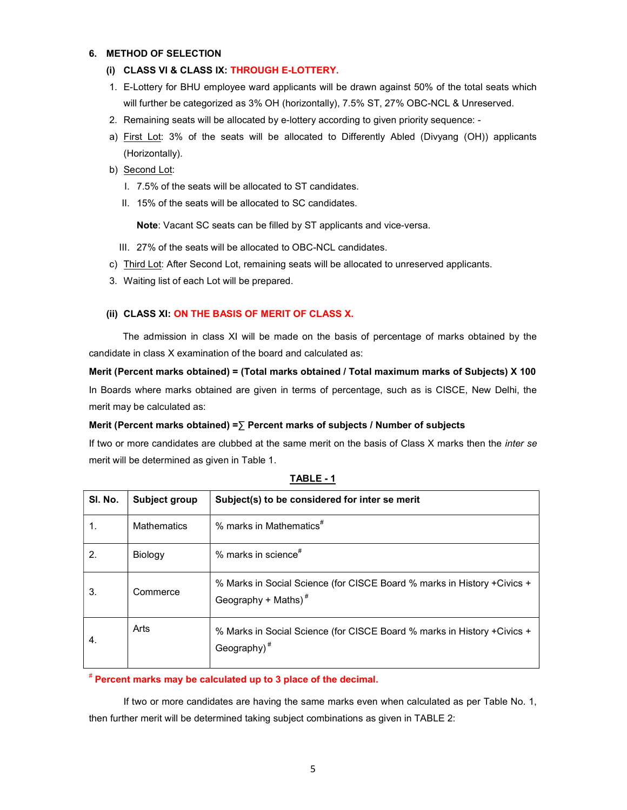## 6. METHOD OF SELECTION

- (i) CLASS VI & CLASS IX: THROUGH E-LOTTERY.
- 1. E-Lottery for BHU employee ward applicants will be drawn against 50% of the total seats which will further be categorized as 3% OH (horizontally), 7.5% ST, 27% OBC-NCL & Unreserved.
- 2. Remaining seats will be allocated by e-lottery according to given priority sequence: -
- a) First Lot: 3% of the seats will be allocated to Differently Abled (Divyang (OH)) applicants (Horizontally).
- b) Second Lot:
	- I. 7.5% of the seats will be allocated to ST candidates.
	- II. 15% of the seats will be allocated to SC candidates.

Note: Vacant SC seats can be filled by ST applicants and vice-versa.

- III. 27% of the seats will be allocated to OBC-NCL candidates.
- c) Third Lot: After Second Lot, remaining seats will be allocated to unreserved applicants.
- 3. Waiting list of each Lot will be prepared.

## (ii) CLASS XI: ON THE BASIS OF MERIT OF CLASS X.

The admission in class XI will be made on the basis of percentage of marks obtained by the candidate in class X examination of the board and calculated as:

Merit (Percent marks obtained) = (Total marks obtained / Total maximum marks of Subjects) X 100 In Boards where marks obtained are given in terms of percentage, such as is CISCE, New Delhi, the

merit may be calculated as:

## Merit (Percent marks obtained) = $\Sigma$  Percent marks of subjects / Number of subjects

If two or more candidates are clubbed at the same merit on the basis of Class X marks then the inter se merit will be determined as given in Table 1.

| SI. No. | Subject group      | Subject(s) to be considered for inter se merit                                                    |
|---------|--------------------|---------------------------------------------------------------------------------------------------|
|         | <b>Mathematics</b> | % marks in Mathematics $*$                                                                        |
| 2.      | Biology            | % marks in science $*$                                                                            |
| 3.      | Commerce           | % Marks in Social Science (for CISCE Board % marks in History +Civics +<br>Geography + Maths) $#$ |
| 4.      | Arts               | % Marks in Social Science (for CISCE Board % marks in History +Civics +<br>Geography) $*$         |

## TABLE - 1

## # Percent marks may be calculated up to 3 place of the decimal.

If two or more candidates are having the same marks even when calculated as per Table No. 1, then further merit will be determined taking subject combinations as given in TABLE 2: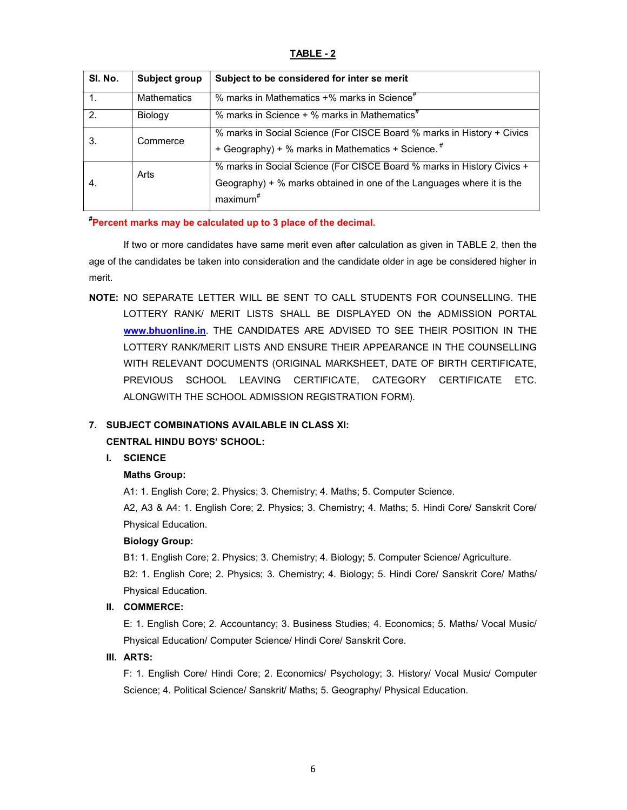## TABLE - 2

| SI. No.        | Subject group      | Subject to be considered for inter se merit                                                                                                                             |
|----------------|--------------------|-------------------------------------------------------------------------------------------------------------------------------------------------------------------------|
| $\mathbf{1}$ . | <b>Mathematics</b> | % marks in Mathematics +% marks in Science <sup>#</sup>                                                                                                                 |
| 2.             | Biology            | % marks in Science + % marks in Mathematics <sup>#</sup>                                                                                                                |
| 3.             | Commerce           | % marks in Social Science (For CISCE Board % marks in History + Civics<br>+ Geography) + % marks in Mathematics + Science. #                                            |
| 4.             | Arts               | % marks in Social Science (For CISCE Board % marks in History Civics +<br>Geography) + % marks obtained in one of the Languages where it is the<br>maximum <sup>#</sup> |

## #Percent marks may be calculated up to 3 place of the decimal.

If two or more candidates have same merit even after calculation as given in TABLE 2, then the age of the candidates be taken into consideration and the candidate older in age be considered higher in merit.

NOTE: NO SEPARATE LETTER WILL BE SENT TO CALL STUDENTS FOR COUNSELLING. THE LOTTERY RANK/ MERIT LISTS SHALL BE DISPLAYED ON the ADMISSION PORTAL www.bhuonline.in. THE CANDIDATES ARE ADVISED TO SEE THEIR POSITION IN THE LOTTERY RANK/MERIT LISTS AND ENSURE THEIR APPEARANCE IN THE COUNSELLING WITH RELEVANT DOCUMENTS (ORIGINAL MARKSHEET, DATE OF BIRTH CERTIFICATE, PREVIOUS SCHOOL LEAVING CERTIFICATE, CATEGORY CERTIFICATE ETC. ALONGWITH THE SCHOOL ADMISSION REGISTRATION FORM).

## 7. SUBJECT COMBINATIONS AVAILABLE IN CLASS XI:

## CENTRAL HINDU BOYS' SCHOOL:

## I. SCIENCE

## Maths Group:

A1: 1. English Core; 2. Physics; 3. Chemistry; 4. Maths; 5. Computer Science.

A2, A3 & A4: 1. English Core; 2. Physics; 3. Chemistry; 4. Maths; 5. Hindi Core/ Sanskrit Core/ Physical Education.

## Biology Group:

B1: 1. English Core; 2. Physics; 3. Chemistry; 4. Biology; 5. Computer Science/ Agriculture.

B2: 1. English Core; 2. Physics; 3. Chemistry; 4. Biology; 5. Hindi Core/ Sanskrit Core/ Maths/ Physical Education.

## II. COMMERCE:

E: 1. English Core; 2. Accountancy; 3. Business Studies; 4. Economics; 5. Maths/ Vocal Music/ Physical Education/ Computer Science/ Hindi Core/ Sanskrit Core.

## III. ARTS:

F: 1. English Core/ Hindi Core; 2. Economics/ Psychology; 3. History/ Vocal Music/ Computer Science; 4. Political Science/ Sanskrit/ Maths; 5. Geography/ Physical Education.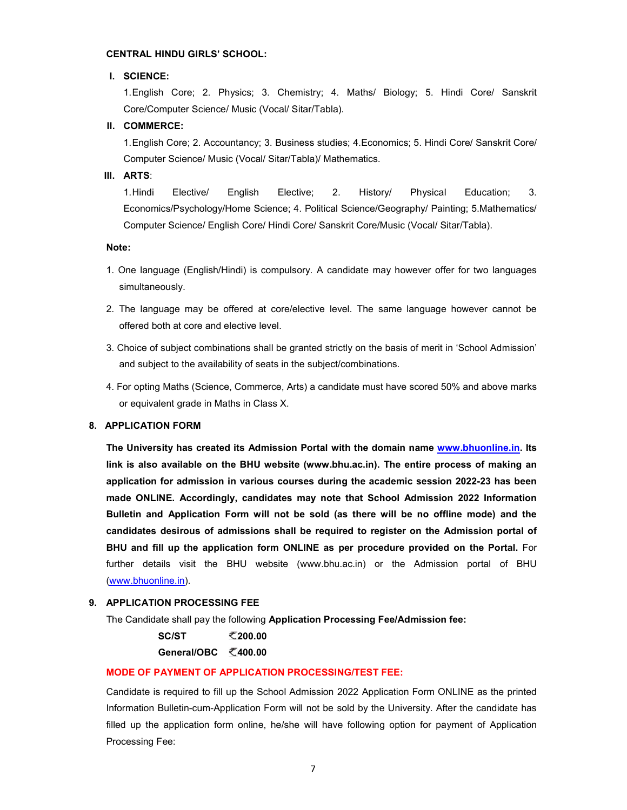#### CENTRAL HINDU GIRLS' SCHOOL:

## I. SCIENCE:

1. English Core; 2. Physics; 3. Chemistry; 4. Maths/ Biology; 5. Hindi Core/ Sanskrit Core/Computer Science/ Music (Vocal/ Sitar/Tabla).

## II. COMMERCE:

1. English Core; 2. Accountancy; 3. Business studies; 4.Economics; 5. Hindi Core/ Sanskrit Core/ Computer Science/ Music (Vocal/ Sitar/Tabla)/ Mathematics.

#### III. ARTS:

1. Hindi Elective/ English Elective; 2. History/ Physical Education; 3. Economics/Psychology/Home Science; 4. Political Science/Geography/ Painting; 5.Mathematics/ Computer Science/ English Core/ Hindi Core/ Sanskrit Core/Music (Vocal/ Sitar/Tabla).

## Note:

- 1. One language (English/Hindi) is compulsory. A candidate may however offer for two languages simultaneously.
- 2. The language may be offered at core/elective level. The same language however cannot be offered both at core and elective level.
- 3. Choice of subject combinations shall be granted strictly on the basis of merit in 'School Admission' and subject to the availability of seats in the subject/combinations.
- 4. For opting Maths (Science, Commerce, Arts) a candidate must have scored 50% and above marks or equivalent grade in Maths in Class X.

## 8. APPLICATION FORM

The University has created its Admission Portal with the domain name www.bhuonline.in. Its link is also available on the BHU website (www.bhu.ac.in). The entire process of making an application for admission in various courses during the academic session 2022-23 has been made ONLINE. Accordingly, candidates may note that School Admission 2022 Information Bulletin and Application Form will not be sold (as there will be no offline mode) and the candidates desirous of admissions shall be required to register on the Admission portal of BHU and fill up the application form ONLINE as per procedure provided on the Portal. For further details visit the BHU website (www.bhu.ac.in) or the Admission portal of BHU (www.bhuonline.in).

## 9. APPLICATION PROCESSING FEE

The Candidate shall pay the following Application Processing Fee/Admission fee:

 $SC/ST$   $Z_{200.00}$ 

General/OBC ₹400.00

## MODE OF PAYMENT OF APPLICATION PROCESSING/TEST FEE:

Candidate is required to fill up the School Admission 2022 Application Form ONLINE as the printed Information Bulletin-cum-Application Form will not be sold by the University. After the candidate has filled up the application form online, he/she will have following option for payment of Application Processing Fee: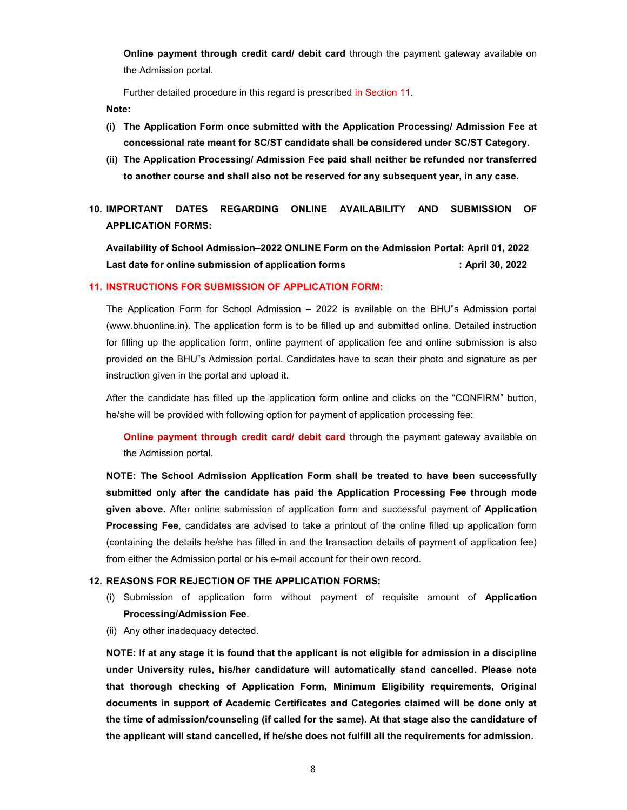**Online payment through credit card/ debit card** through the payment gateway available on the Admission portal.

Further detailed procedure in this regard is prescribed in Section 11.

Note:

- (i) The Application Form once submitted with the Application Processing/ Admission Fee at concessional rate meant for SC/ST candidate shall be considered under SC/ST Category.
- (ii) The Application Processing/ Admission Fee paid shall neither be refunded nor transferred to another course and shall also not be reserved for any subsequent year, in any case.
- 10. IMPORTANT DATES REGARDING ONLINE AVAILABILITY AND SUBMISSION OF APPLICATION FORMS:

Availability of School Admission–2022 ONLINE Form on the Admission Portal: April 01, 2022 Last date for online submission of application forms **in the case of the Case of April 30, 2022** 

## 11. INSTRUCTIONS FOR SUBMISSION OF APPLICATION FORM:

The Application Form for School Admission – 2022 is available on the BHU"s Admission portal (www.bhuonline.in). The application form is to be filled up and submitted online. Detailed instruction for filling up the application form, online payment of application fee and online submission is also provided on the BHU"s Admission portal. Candidates have to scan their photo and signature as per instruction given in the portal and upload it.

After the candidate has filled up the application form online and clicks on the "CONFIRM" button, he/she will be provided with following option for payment of application processing fee:

**Online payment through credit card/ debit card** through the payment gateway available on the Admission portal.

NOTE: The School Admission Application Form shall be treated to have been successfully submitted only after the candidate has paid the Application Processing Fee through mode given above. After online submission of application form and successful payment of Application **Processing Fee**, candidates are advised to take a printout of the online filled up application form (containing the details he/she has filled in and the transaction details of payment of application fee) from either the Admission portal or his e-mail account for their own record.

#### 12. REASONS FOR REJECTION OF THE APPLICATION FORMS:

- (i) Submission of application form without payment of requisite amount of Application Processing/Admission Fee.
- (ii) Any other inadequacy detected.

NOTE: If at any stage it is found that the applicant is not eligible for admission in a discipline under University rules, his/her candidature will automatically stand cancelled. Please note that thorough checking of Application Form, Minimum Eligibility requirements, Original documents in support of Academic Certificates and Categories claimed will be done only at the time of admission/counseling (if called for the same). At that stage also the candidature of the applicant will stand cancelled, if he/she does not fulfill all the requirements for admission.